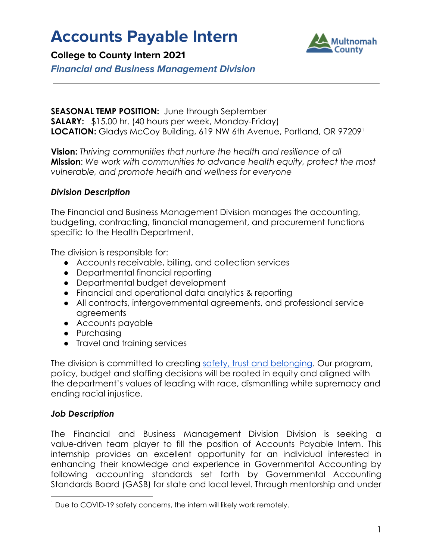# **Accounts Payable Intern**



**College to County Intern 2021**

**Financial and Business Management Division**

#### **SEASONAL TEMP POSITION:** June through September **SALARY:** \$15.00 hr. (40 hours per week, Monday-Friday) **LOCATION:** Gladys McCoy Building, 619 NW 6th Avenue, Portland, OR 97209<sup>1</sup>

**Vision:** *Thriving communities that nurture the health and resilience of all* **Mission**: *We work with communities to advance health equity, protect the most vulnerable, and promote health and wellness for everyone*

### *Division Description*

The Financial and Business Management Division manages the accounting, budgeting, contracting, financial management, and procurement functions specific to the Health Department.

The division is responsible for:

- Accounts receivable, billing, and collection services
- Departmental financial reporting
- Departmental budget development
- Financial and operational data analytics & reporting
- All contracts, intergovernmental agreements, and professional service agreements
- Accounts payable
- Purchasing
- Travel and training services

The division is committed to creating [safety, trust and belonging](https://multco.us/safety-trust-and-belonging-workforce-equity-initiative). Our program, policy, budget and staffing decisions will be rooted in equity and aligned with the department's values of leading with race, dismantling white supremacy and ending racial injustice.

# *Job Description*

The Financial and Business Management Division Division is seeking a value-driven team player to fill the position of Accounts Payable Intern. This internship provides an excellent opportunity for an individual interested in enhancing their knowledge and experience in Governmental Accounting by following accounting standards set forth by Governmental Accounting Standards Board (GASB) for state and local level. Through mentorship and under

<sup>&</sup>lt;sup>1</sup> Due to COVID-19 safety concerns, the intern will likely work remotely.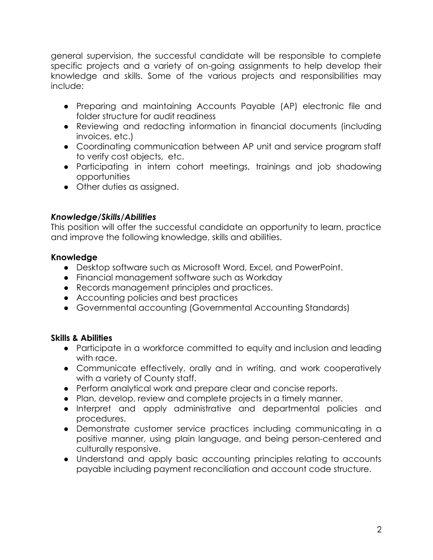general supervision, the successful candidate will be responsible to complete specific projects and a variety of on-going assignments to help develop their knowledge and skills. Some of the various projects and responsibilities may include:

- Preparing and maintaining Accounts Payable (AP) electronic file and folder structure for audit readiness
- Reviewing and redacting information in financial documents (including invoices, etc.)
- Coordinating communication between AP unit and service program staff to verify cost objects, etc.
- Participating in intern cohort meetings, trainings and job shadowing opportunities
- Other duties as assigned.

# *Knowledge/Skills/Abilities*

This position will offer the successful candidate an opportunity to learn, practice and improve the following knowledge, skills and abilities.

# **Knowledge**

- Desktop software such as Microsoft Word, Excel, and PowerPoint.
- Financial management software such as Workday
- Records management principles and practices.
- Accounting policies and best practices
- Governmental accounting (Governmental Accounting Standards)

# **Skills & Abilities**

- Participate in a workforce committed to equity and inclusion and leading with race.
- Communicate effectively, orally and in writing, and work cooperatively with a variety of County staff.
- Perform analytical work and prepare clear and concise reports.
- Plan, develop, review and complete projects in a timely manner.
- Interpret and apply administrative and departmental policies and procedures.
- Demonstrate customer service practices including communicating in a positive manner, using plain language, and being person-centered and culturally responsive.
- Understand and apply basic accounting principles relating to accounts payable including payment reconciliation and account code structure.